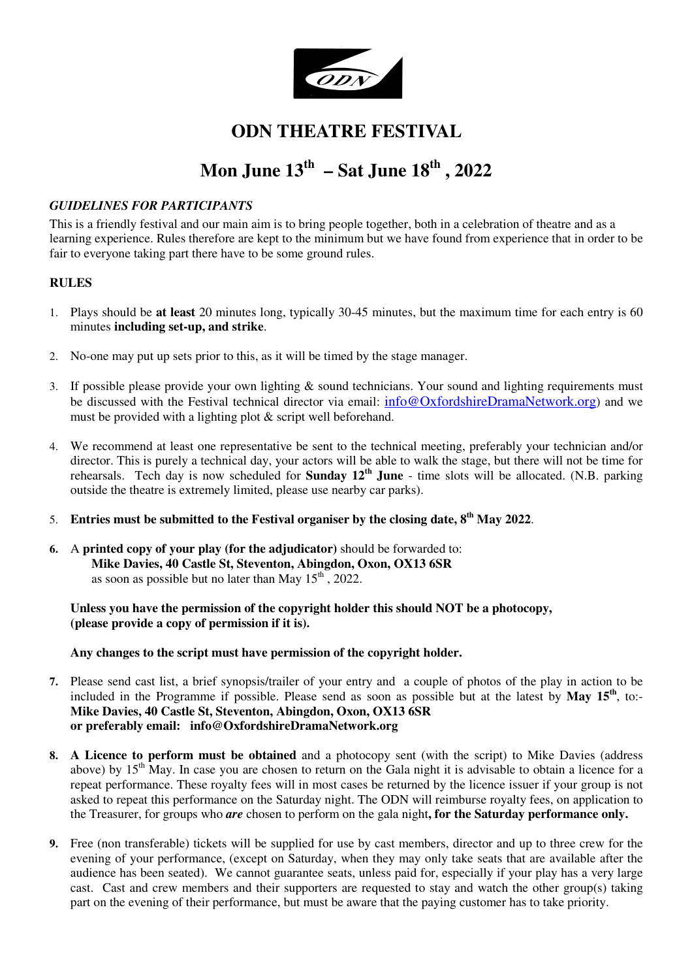

# **ODN THEATRE FESTIVAL**

# **Mon June 13th – Sat June 18th , 2022**

### *GUIDELINES FOR PARTICIPANTS*

This is a friendly festival and our main aim is to bring people together, both in a celebration of theatre and as a learning experience. Rules therefore are kept to the minimum but we have found from experience that in order to be fair to everyone taking part there have to be some ground rules.

#### **RULES**

- 1. Plays should be **at least** 20 minutes long, typically 30-45 minutes, but the maximum time for each entry is 60 minutes **including set-up, and strike**.
- 2. No-one may put up sets prior to this, as it will be timed by the stage manager.
- 3. If possible please provide your own lighting & sound technicians. Your sound and lighting requirements must be discussed with the Festival technical director via email:  $info@OxfordshireDramaNetwork.org$  and we must be provided with a lighting plot & script well beforehand.
- 4. We recommend at least one representative be sent to the technical meeting, preferably your technician and/or director. This is purely a technical day, your actors will be able to walk the stage, but there will not be time for rehearsals. Tech day is now scheduled for **Sunday 12th June** - time slots will be allocated. (N.B. parking outside the theatre is extremely limited, please use nearby car parks).
- 5. **Entries must be submitted to the Festival organiser by the closing date, 8th May 2022**.
- **6.** A **printed copy of your play (for the adjudicator)** should be forwarded to: **Mike Davies, 40 Castle St, Steventon, Abingdon, Oxon, OX13 6SR** as soon as possible but no later than May  $15<sup>th</sup>$ , 2022.

**Unless you have the permission of the copyright holder this should NOT be a photocopy, (please provide a copy of permission if it is).** 

**Any changes to the script must have permission of the copyright holder.** 

- **7.** Please send cast list, a brief synopsis/trailer of your entry and a couple of photos of the play in action to be included in the Programme if possible. Please send as soon as possible but at the latest by **May 15th**, to:- **Mike Davies, 40 Castle St, Steventon, Abingdon, Oxon, OX13 6SR or preferably email: info@OxfordshireDramaNetwork.org**
- **8. A Licence to perform must be obtained** and a photocopy sent (with the script) to Mike Davies (address above) by 15<sup>th</sup> May. In case you are chosen to return on the Gala night it is advisable to obtain a licence for a repeat performance. These royalty fees will in most cases be returned by the licence issuer if your group is not asked to repeat this performance on the Saturday night. The ODN will reimburse royalty fees, on application to the Treasurer, for groups who *are* chosen to perform on the gala night**, for the Saturday performance only.**
- **9.** Free (non transferable) tickets will be supplied for use by cast members, director and up to three crew for the evening of your performance, (except on Saturday, when they may only take seats that are available after the audience has been seated). We cannot guarantee seats, unless paid for, especially if your play has a very large cast. Cast and crew members and their supporters are requested to stay and watch the other group(s) taking part on the evening of their performance, but must be aware that the paying customer has to take priority.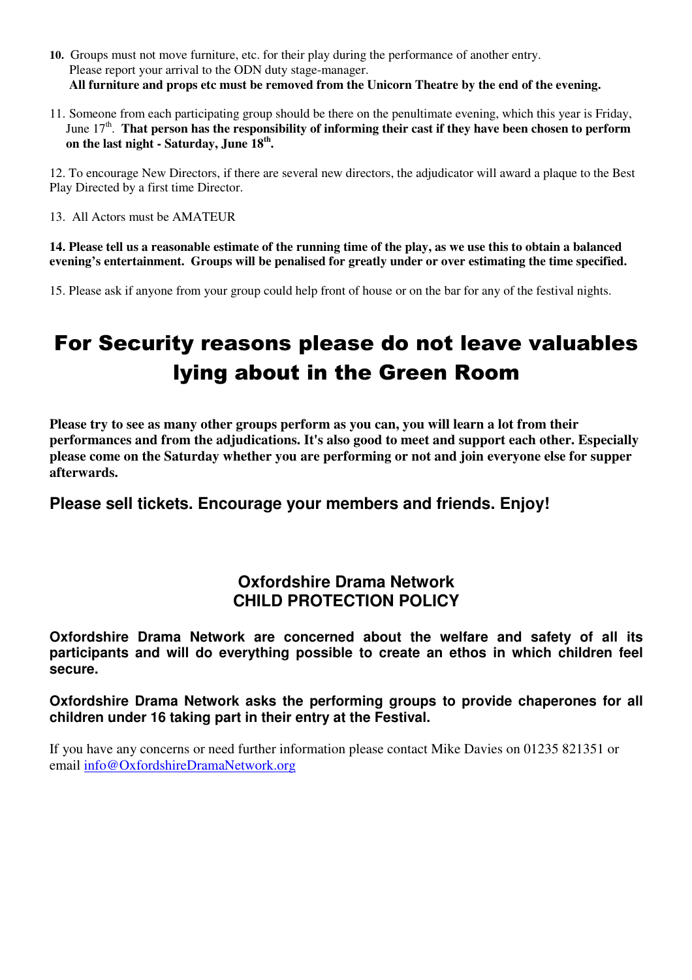- **10.** Groups must not move furniture, etc. for their play during the performance of another entry. Please report your arrival to the ODN duty stage-manager. **All furniture and props etc must be removed from the Unicorn Theatre by the end of the evening.**
- 11. Someone from each participating group should be there on the penultimate evening, which this year is Friday, June 17<sup>th</sup>. That person has the responsibility of informing their cast if they have been chosen to perform **on the last night - Saturday, June 18th .**

12. To encourage New Directors, if there are several new directors, the adjudicator will award a plaque to the Best Play Directed by a first time Director.

13. All Actors must be AMATEUR

**14. Please tell us a reasonable estimate of the running time of the play, as we use this to obtain a balanced evening's entertainment. Groups will be penalised for greatly under or over estimating the time specified.** 

15. Please ask if anyone from your group could help front of house or on the bar for any of the festival nights.

# For Security reasons please do not leave valuables lying about in the Green Room

**Please try to see as many other groups perform as you can, you will learn a lot from their performances and from the adjudications. It's also good to meet and support each other. Especially please come on the Saturday whether you are performing or not and join everyone else for supper afterwards.** 

## **Please sell tickets. Encourage your members and friends. Enjoy!**

## **Oxfordshire Drama Network CHILD PROTECTION POLICY**

**Oxfordshire Drama Network are concerned about the welfare and safety of all its participants and will do everything possible to create an ethos in which children feel secure.** 

**Oxfordshire Drama Network asks the performing groups to provide chaperones for all children under 16 taking part in their entry at the Festival.** 

If you have any concerns or need further information please contact Mike Davies on 01235 821351 or email info@OxfordshireDramaNetwork.org